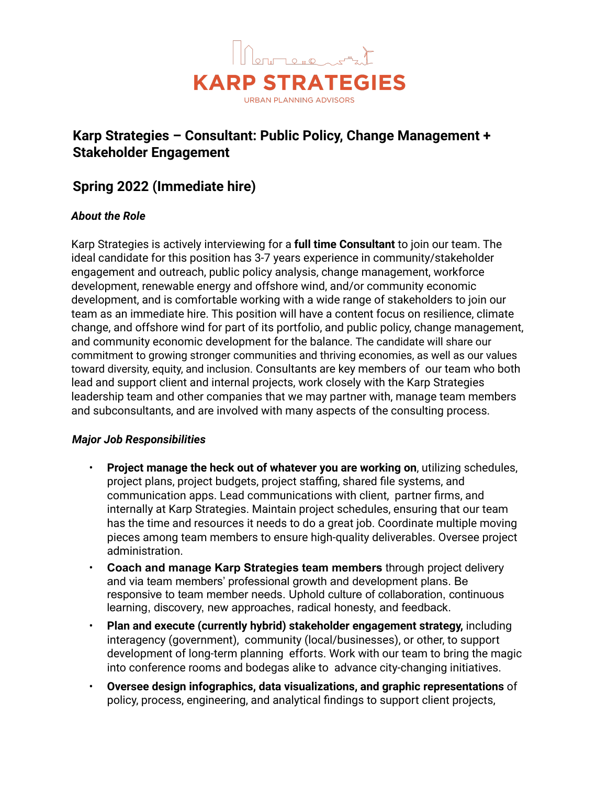

# **Karp Strategies – Consultant: Public Policy, Change Management + Stakeholder Engagement**

## **Spring 2022 (Immediate hire)**

## *About the Role*

Karp Strategies is actively interviewing for a **full time Consultant** to join our team. The ideal candidate for this position has 3-7 years experience in community/stakeholder engagement and outreach, public policy analysis, change management, workforce development, renewable energy and offshore wind, and/or community economic development, and is comfortable working with a wide range of stakeholders to join our team as an immediate hire. This position will have a content focus on resilience, climate change, and offshore wind for part of its portfolio, and public policy, change management, and community economic development for the balance. The candidate will share our commitment to growing stronger communities and thriving economies, as well as our values toward diversity, equity, and inclusion. Consultants are key members of our team who both lead and support client and internal projects, work closely with the Karp Strategies leadership team and other companies that we may partner with, manage team members and subconsultants, and are involved with many aspects of the consulting process.

## *Major Job Responsibilities*

- **Project manage the heck out of whatever you are working on**, utilizing schedules, project plans, project budgets, project staffing, shared file systems, and communication apps. Lead communications with client, partner firms, and internally at Karp Strategies. Maintain project schedules, ensuring that our team has the time and resources it needs to do a great job. Coordinate multiple moving pieces among team members to ensure high-quality deliverables. Oversee project administration.
- **Coach and manage Karp Strategies team members** through project delivery and via team members' professional growth and development plans. Be responsive to team member needs. Uphold culture of collaboration, continuous learning, discovery, new approaches, radical honesty, and feedback.
- **Plan and execute (currently hybrid) stakeholder engagement strategy,** including interagency (government), community (local/businesses), or other, to support development of long-term planning efforts. Work with our team to bring the magic into conference rooms and bodegas alike to advance city-changing initiatives.
- **Oversee design infographics, data visualizations, and graphic representations** of policy, process, engineering, and analytical findings to support client projects,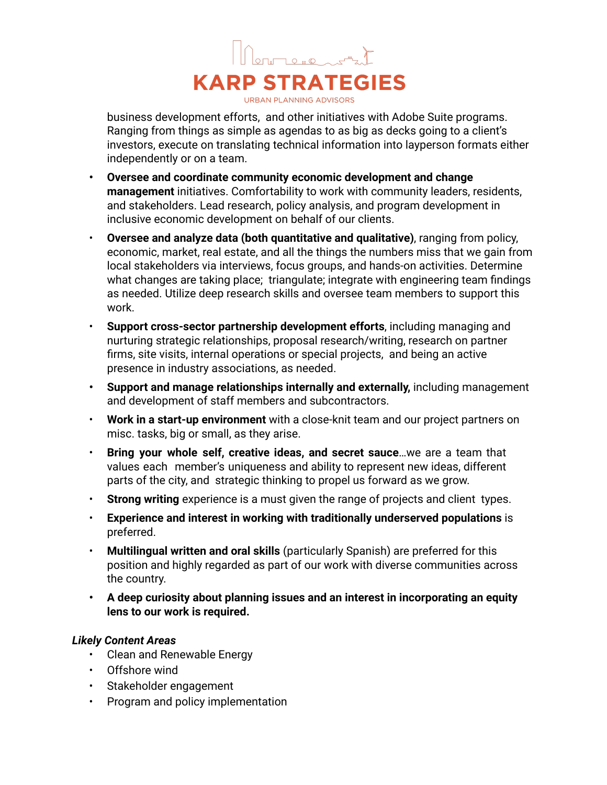

business development efforts, and other initiatives with Adobe Suite programs. Ranging from things as simple as agendas to as big as decks going to a client's investors, execute on translating technical information into layperson formats either independently or on a team.

- **• Oversee and coordinate community economic development and change management** initiatives. Comfortability to work with community leaders, residents, and stakeholders. Lead research, policy analysis, and program development in inclusive economic development on behalf of our clients.
- **Oversee and analyze data (both quantitative and qualitative)**, ranging from policy, economic, market, real estate, and all the things the numbers miss that we gain from local stakeholders via interviews, focus groups, and hands-on activities. Determine what changes are taking place; triangulate; integrate with engineering team findings as needed. Utilize deep research skills and oversee team members to support this work.
- **Support cross-sector partnership development efforts**, including managing and nurturing strategic relationships, proposal research/writing, research on partner firms, site visits, internal operations or special projects, and being an active presence in industry associations, as needed.
- **• Support and manage relationships internally and externally,** including management and development of staff members and subcontractors.
- **Work in a start-up environment** with a close-knit team and our project partners on misc. tasks, big or small, as they arise.
- **Bring your whole self, creative ideas, and secret sauce**…we are a team that values each member's uniqueness and ability to represent new ideas, different parts of the city, and strategic thinking to propel us forward as we grow.
- **Strong writing** experience is a must given the range of projects and client types.
- **Experience and interest in working with traditionally underserved populations** is preferred.
- **Multilingual written and oral skills** (particularly Spanish) are preferred for this position and highly regarded as part of our work with diverse communities across the country.
- **• A deep curiosity about planning issues and an interest in incorporating an equity lens to our work is required.**

## *Likely Content Areas*

- Clean and Renewable Energy
- Offshore wind
- Stakeholder engagement
- Program and policy implementation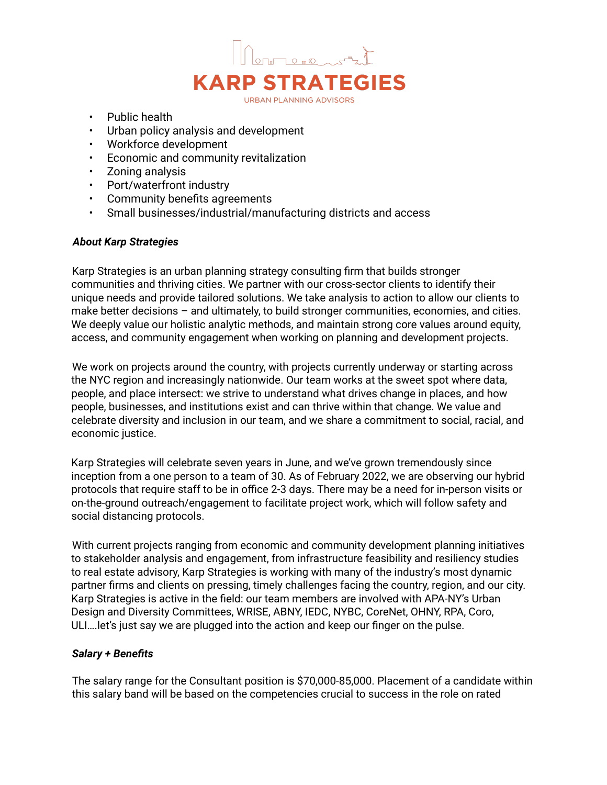

- Public health
- Urban policy analysis and development
- Workforce development
- Economic and community revitalization
- Zoning analysis
- Port/waterfront industry
- Community benefits agreements
- Small businesses/industrial/manufacturing districts and access

#### *About Karp Strategies*

Karp Strategies is an urban planning strategy consulting firm that builds stronger communities and thriving cities. We partner with our cross-sector clients to identify their unique needs and provide tailored solutions. We take analysis to action to allow our clients to make better decisions – and ultimately, to build stronger communities, economies, and cities. We deeply value our holistic analytic methods, and maintain strong core values around equity, access, and community engagement when working on planning and development projects.

We work on projects around the country, with projects currently underway or starting across the NYC region and increasingly nationwide. Our team works at the sweet spot where data, people, and place intersect: we strive to understand what drives change in places, and how people, businesses, and institutions exist and can thrive within that change. We value and celebrate diversity and inclusion in our team, and we share a commitment to social, racial, and economic justice.

Karp Strategies will celebrate seven years in June, and we've grown tremendously since inception from a one person to a team of 30. As of February 2022, we are observing our hybrid protocols that require staff to be in office 2-3 days. There may be a need for in-person visits or on-the-ground outreach/engagement to facilitate project work, which will follow safety and social distancing protocols.

With current projects ranging from economic and community development planning initiatives to stakeholder analysis and engagement, from infrastructure feasibility and resiliency studies to real estate advisory, Karp Strategies is working with many of the industry's most dynamic partner firms and clients on pressing, timely challenges facing the country, region, and our city. Karp Strategies is active in the field: our team members are involved with APA-NY's Urban Design and Diversity Committees, WRISE, ABNY, IEDC, NYBC, CoreNet, OHNY, RPA, Coro, ULI….let's just say we are plugged into the action and keep our finger on the pulse.

### *Salary + Benefits*

The salary range for the Consultant position is \$70,000-85,000. Placement of a candidate within this salary band will be based on the competencies crucial to success in the role on rated